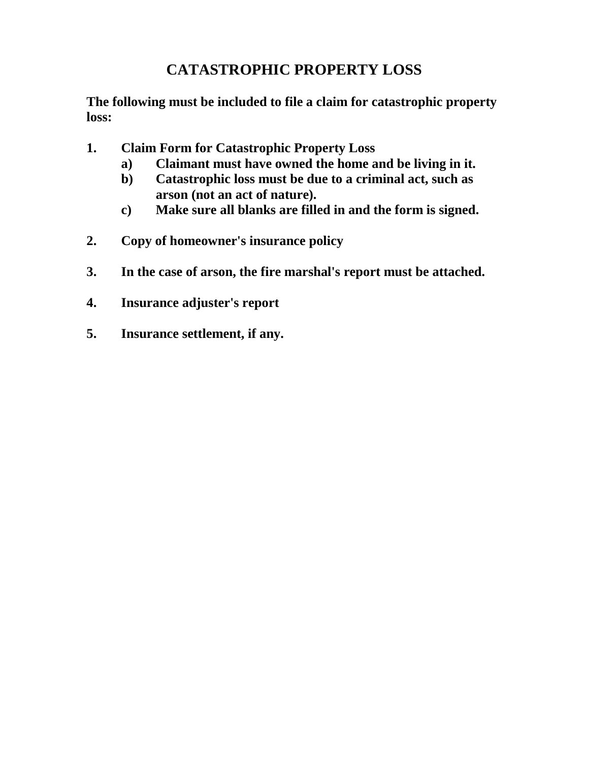## **CATASTROPHIC PROPERTY LOSS**

**The following must be included to file a claim for catastrophic property loss:**

- **1. Claim Form for Catastrophic Property Loss**
	- **a) Claimant must have owned the home and be living in it.**
	- **b) Catastrophic loss must be due to a criminal act, such as arson (not an act of nature).**
	- **c) Make sure all blanks are filled in and the form is signed.**
- **2. Copy of homeowner's insurance policy**
- **3. In the case of arson, the fire marshal's report must be attached.**
- **4. Insurance adjuster's report**
- **5. Insurance settlement, if any.**